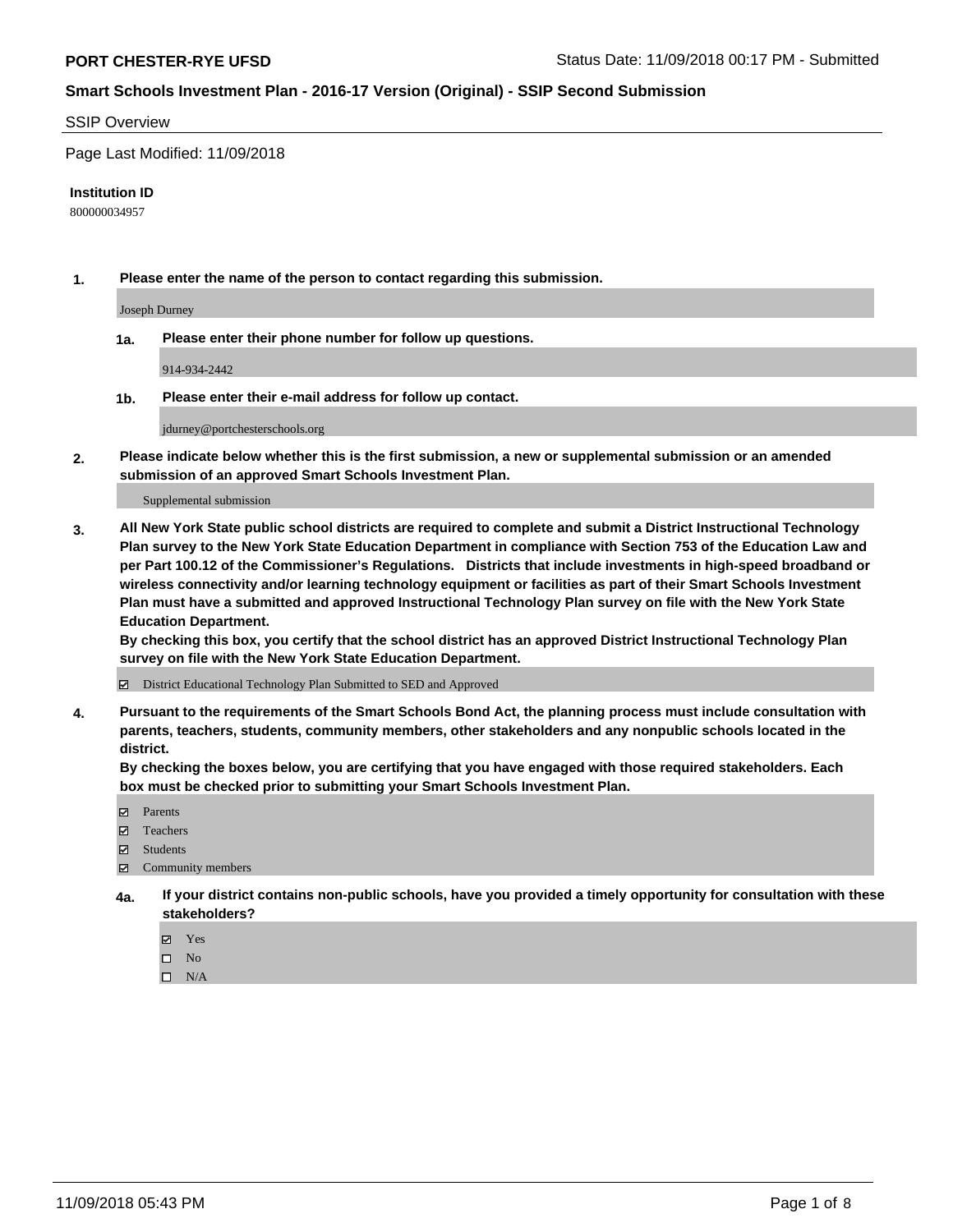#### SSIP Overview

Page Last Modified: 11/09/2018

#### **Institution ID**

800000034957

**1. Please enter the name of the person to contact regarding this submission.**

Joseph Durney

**1a. Please enter their phone number for follow up questions.**

914-934-2442

**1b. Please enter their e-mail address for follow up contact.**

jdurney@portchesterschools.org

**2. Please indicate below whether this is the first submission, a new or supplemental submission or an amended submission of an approved Smart Schools Investment Plan.**

Supplemental submission

**3. All New York State public school districts are required to complete and submit a District Instructional Technology Plan survey to the New York State Education Department in compliance with Section 753 of the Education Law and per Part 100.12 of the Commissioner's Regulations. Districts that include investments in high-speed broadband or wireless connectivity and/or learning technology equipment or facilities as part of their Smart Schools Investment Plan must have a submitted and approved Instructional Technology Plan survey on file with the New York State Education Department.** 

**By checking this box, you certify that the school district has an approved District Instructional Technology Plan survey on file with the New York State Education Department.**

District Educational Technology Plan Submitted to SED and Approved

**4. Pursuant to the requirements of the Smart Schools Bond Act, the planning process must include consultation with parents, teachers, students, community members, other stakeholders and any nonpublic schools located in the district.** 

**By checking the boxes below, you are certifying that you have engaged with those required stakeholders. Each box must be checked prior to submitting your Smart Schools Investment Plan.**

- **□** Parents
- Teachers
- Students
- $\boxtimes$  Community members
- **4a. If your district contains non-public schools, have you provided a timely opportunity for consultation with these stakeholders?**
	- Yes
	- $\qquad \qquad$  No
	- $\square$  N/A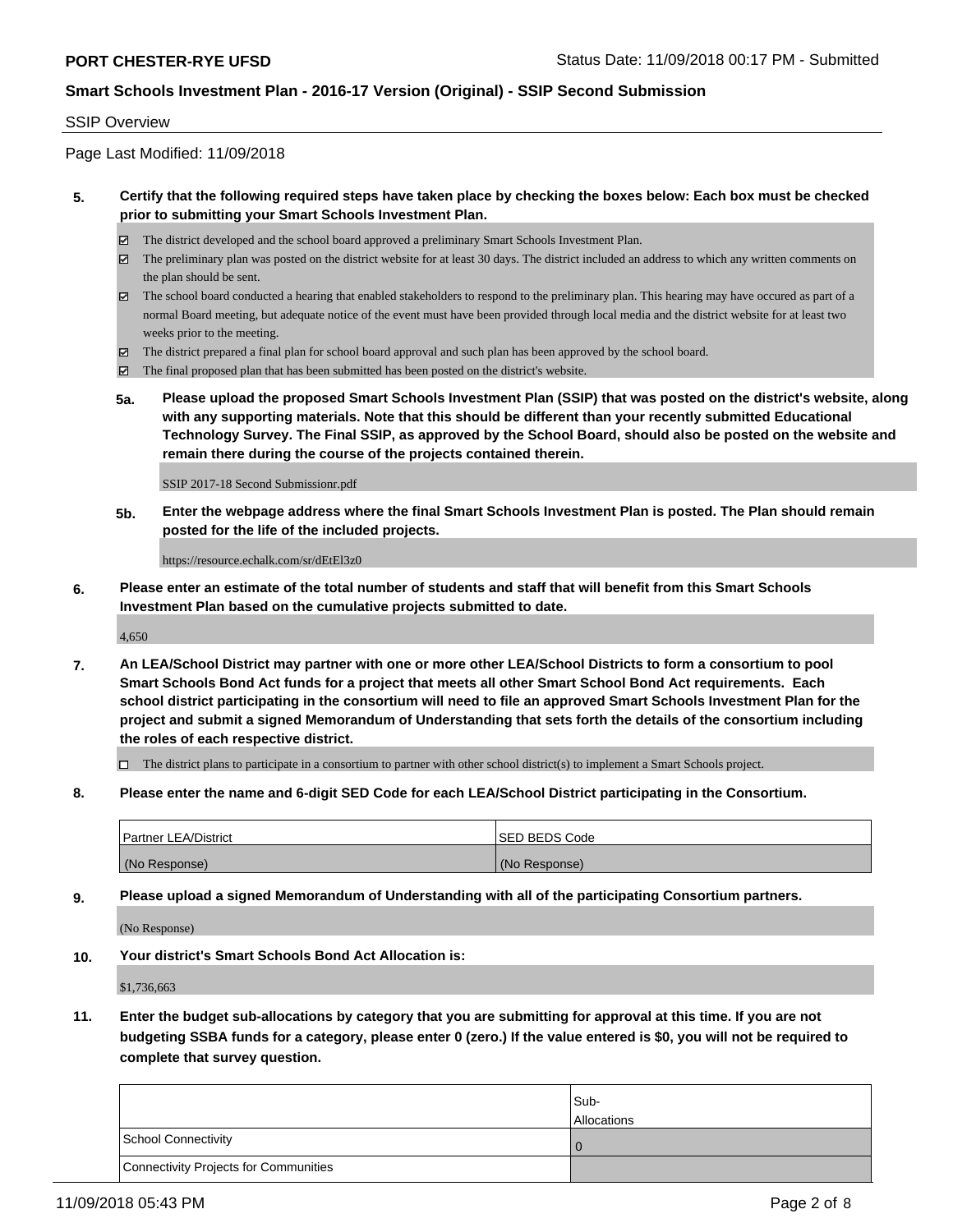#### SSIP Overview

Page Last Modified: 11/09/2018

### **5. Certify that the following required steps have taken place by checking the boxes below: Each box must be checked prior to submitting your Smart Schools Investment Plan.**

- The district developed and the school board approved a preliminary Smart Schools Investment Plan.
- The preliminary plan was posted on the district website for at least 30 days. The district included an address to which any written comments on the plan should be sent.
- $\boxtimes$  The school board conducted a hearing that enabled stakeholders to respond to the preliminary plan. This hearing may have occured as part of a normal Board meeting, but adequate notice of the event must have been provided through local media and the district website for at least two weeks prior to the meeting.
- The district prepared a final plan for school board approval and such plan has been approved by the school board.
- $\boxtimes$  The final proposed plan that has been submitted has been posted on the district's website.
- **5a. Please upload the proposed Smart Schools Investment Plan (SSIP) that was posted on the district's website, along with any supporting materials. Note that this should be different than your recently submitted Educational Technology Survey. The Final SSIP, as approved by the School Board, should also be posted on the website and remain there during the course of the projects contained therein.**

SSIP 2017-18 Second Submissionr.pdf

**5b. Enter the webpage address where the final Smart Schools Investment Plan is posted. The Plan should remain posted for the life of the included projects.**

https://resource.echalk.com/sr/dEtEl3z0

**6. Please enter an estimate of the total number of students and staff that will benefit from this Smart Schools Investment Plan based on the cumulative projects submitted to date.**

4,650

**7. An LEA/School District may partner with one or more other LEA/School Districts to form a consortium to pool Smart Schools Bond Act funds for a project that meets all other Smart School Bond Act requirements. Each school district participating in the consortium will need to file an approved Smart Schools Investment Plan for the project and submit a signed Memorandum of Understanding that sets forth the details of the consortium including the roles of each respective district.**

 $\Box$  The district plans to participate in a consortium to partner with other school district(s) to implement a Smart Schools project.

**8. Please enter the name and 6-digit SED Code for each LEA/School District participating in the Consortium.**

| <b>Partner LEA/District</b> | <b>ISED BEDS Code</b> |
|-----------------------------|-----------------------|
| (No Response)               | (No Response)         |

**9. Please upload a signed Memorandum of Understanding with all of the participating Consortium partners.**

(No Response)

**10. Your district's Smart Schools Bond Act Allocation is:**

\$1,736,663

**11. Enter the budget sub-allocations by category that you are submitting for approval at this time. If you are not budgeting SSBA funds for a category, please enter 0 (zero.) If the value entered is \$0, you will not be required to complete that survey question.**

|                                              | Sub-<br><b>Allocations</b> |
|----------------------------------------------|----------------------------|
| <b>School Connectivity</b>                   |                            |
| <b>Connectivity Projects for Communities</b> |                            |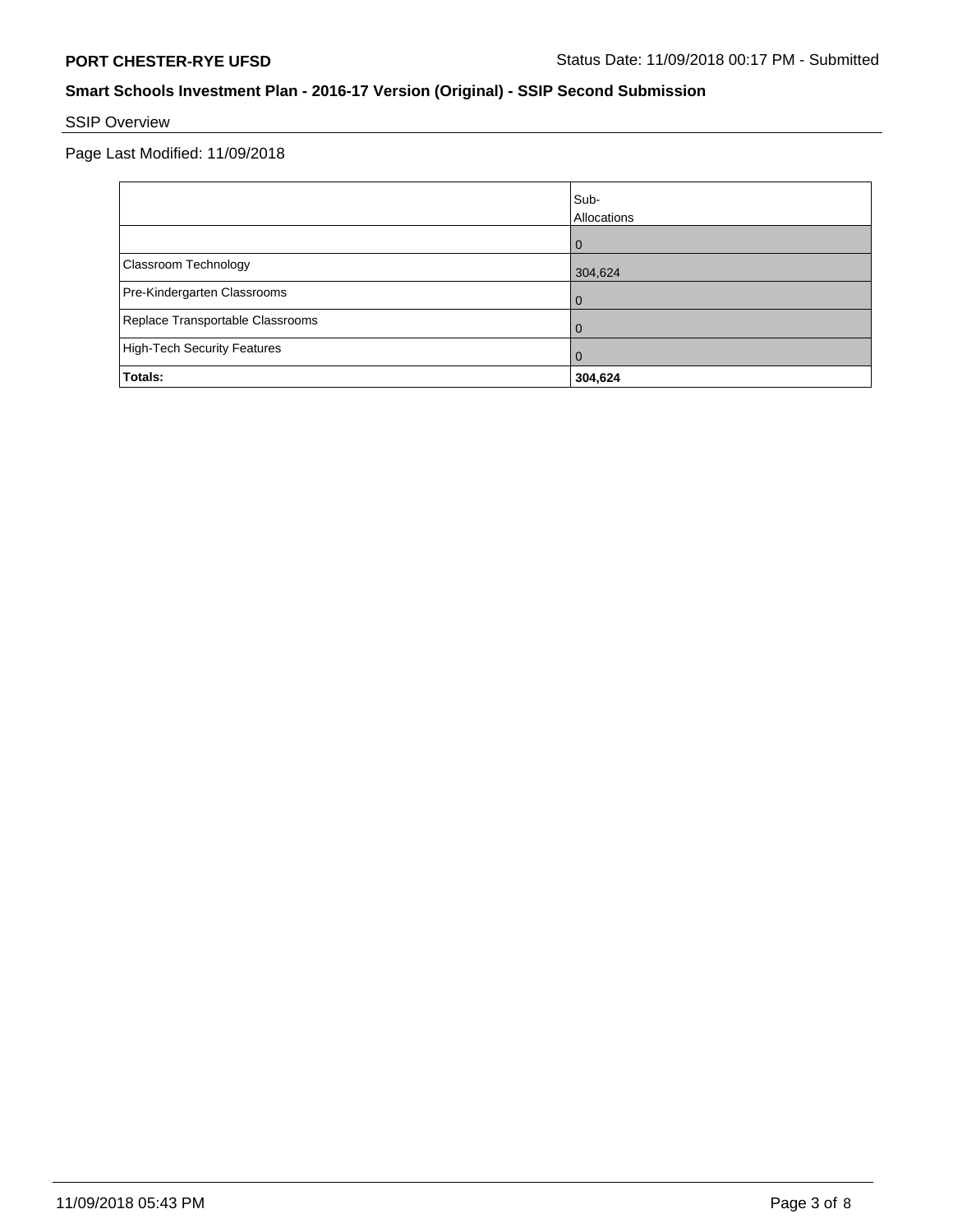# SSIP Overview

Page Last Modified: 11/09/2018

|                                    | Sub-<br>Allocations |
|------------------------------------|---------------------|
|                                    | 0                   |
| Classroom Technology               | 304,624             |
| Pre-Kindergarten Classrooms        | 0                   |
| Replace Transportable Classrooms   | 0                   |
| <b>High-Tech Security Features</b> | $\Omega$            |
| Totals:                            | 304,624             |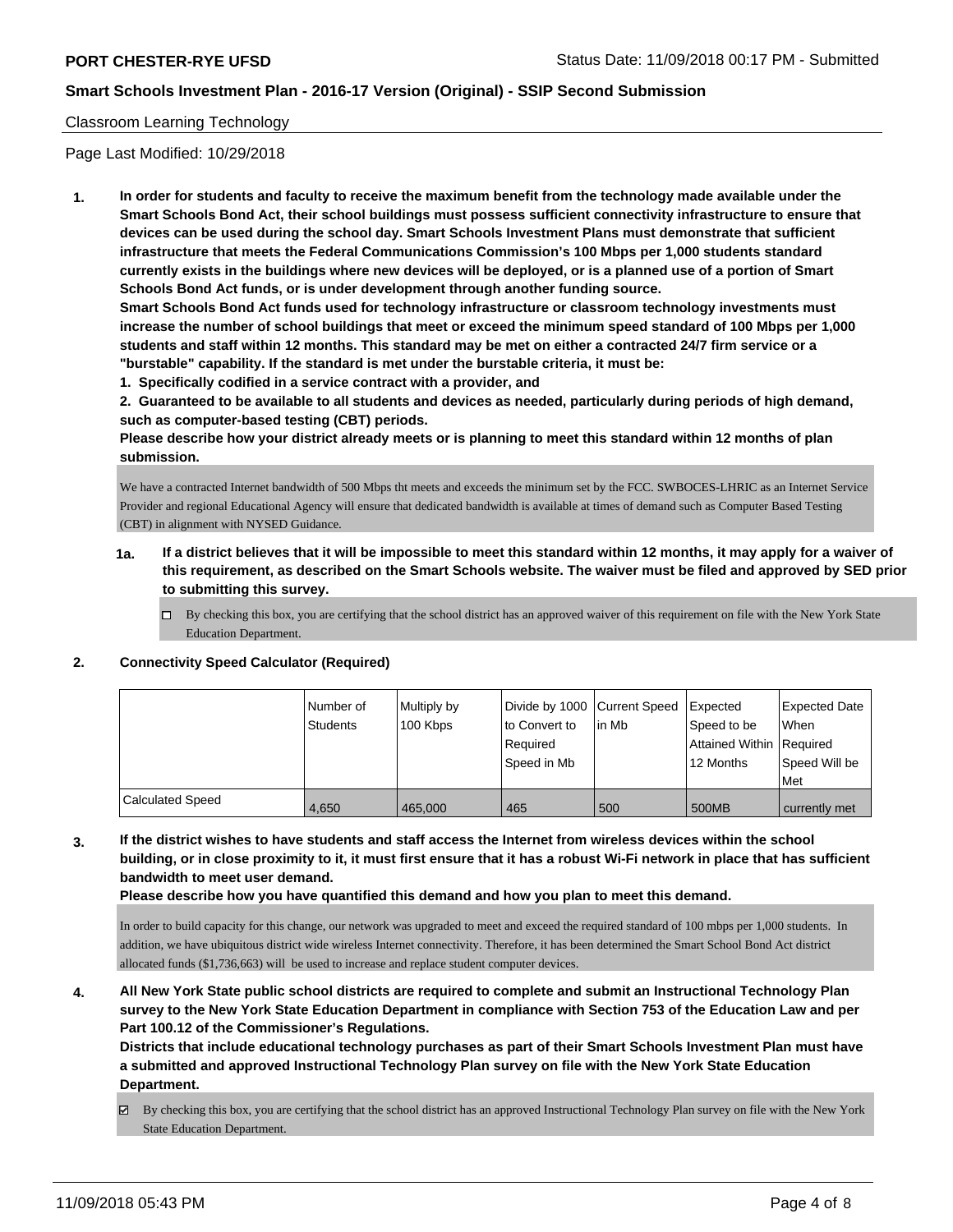### Classroom Learning Technology

Page Last Modified: 10/29/2018

**1. In order for students and faculty to receive the maximum benefit from the technology made available under the Smart Schools Bond Act, their school buildings must possess sufficient connectivity infrastructure to ensure that devices can be used during the school day. Smart Schools Investment Plans must demonstrate that sufficient infrastructure that meets the Federal Communications Commission's 100 Mbps per 1,000 students standard currently exists in the buildings where new devices will be deployed, or is a planned use of a portion of Smart Schools Bond Act funds, or is under development through another funding source.**

**Smart Schools Bond Act funds used for technology infrastructure or classroom technology investments must increase the number of school buildings that meet or exceed the minimum speed standard of 100 Mbps per 1,000 students and staff within 12 months. This standard may be met on either a contracted 24/7 firm service or a "burstable" capability. If the standard is met under the burstable criteria, it must be:**

**1. Specifically codified in a service contract with a provider, and**

**2. Guaranteed to be available to all students and devices as needed, particularly during periods of high demand, such as computer-based testing (CBT) periods.**

**Please describe how your district already meets or is planning to meet this standard within 12 months of plan submission.**

We have a contracted Internet bandwidth of 500 Mbps tht meets and exceeds the minimum set by the FCC. SWBOCES-LHRIC as an Internet Service Provider and regional Educational Agency will ensure that dedicated bandwidth is available at times of demand such as Computer Based Testing (CBT) in alignment with NYSED Guidance.

- **1a. If a district believes that it will be impossible to meet this standard within 12 months, it may apply for a waiver of this requirement, as described on the Smart Schools website. The waiver must be filed and approved by SED prior to submitting this survey.**
	- By checking this box, you are certifying that the school district has an approved waiver of this requirement on file with the New York State Education Department.

# **2. Connectivity Speed Calculator (Required)**

|                         | Number of<br><b>Students</b> | Multiply by<br>100 Kbps | Divide by 1000 Current Speed<br>to Convert to<br>Reauired<br>Speed in Mb | lin Mb | Expected<br>Speed to be<br>Attained Within Required<br>12 Months | <b>Expected Date</b><br>When<br>Speed Will be |
|-------------------------|------------------------------|-------------------------|--------------------------------------------------------------------------|--------|------------------------------------------------------------------|-----------------------------------------------|
|                         |                              |                         |                                                                          |        |                                                                  | <b>Met</b>                                    |
| <b>Calculated Speed</b> | 4,650                        | 465,000                 | 465                                                                      | 500    | 500MB                                                            | currently met                                 |

**3. If the district wishes to have students and staff access the Internet from wireless devices within the school building, or in close proximity to it, it must first ensure that it has a robust Wi-Fi network in place that has sufficient bandwidth to meet user demand.**

**Please describe how you have quantified this demand and how you plan to meet this demand.**

In order to build capacity for this change, our network was upgraded to meet and exceed the required standard of 100 mbps per 1,000 students. In addition, we have ubiquitous district wide wireless Internet connectivity. Therefore, it has been determined the Smart School Bond Act district allocated funds (\$1,736,663) will be used to increase and replace student computer devices.

**4. All New York State public school districts are required to complete and submit an Instructional Technology Plan survey to the New York State Education Department in compliance with Section 753 of the Education Law and per Part 100.12 of the Commissioner's Regulations.**

**Districts that include educational technology purchases as part of their Smart Schools Investment Plan must have a submitted and approved Instructional Technology Plan survey on file with the New York State Education Department.**

By checking this box, you are certifying that the school district has an approved Instructional Technology Plan survey on file with the New York State Education Department.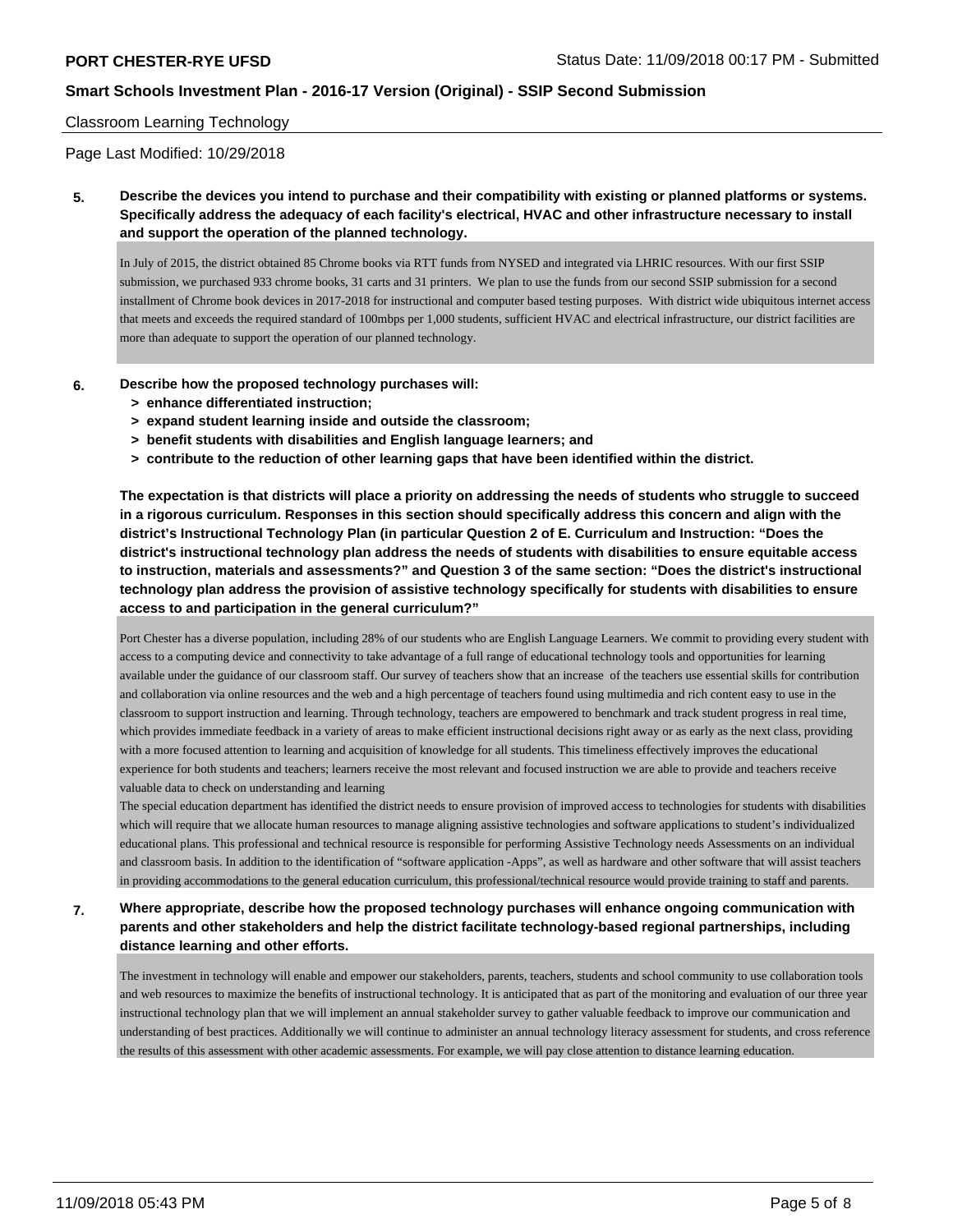### Classroom Learning Technology

Page Last Modified: 10/29/2018

**5. Describe the devices you intend to purchase and their compatibility with existing or planned platforms or systems. Specifically address the adequacy of each facility's electrical, HVAC and other infrastructure necessary to install and support the operation of the planned technology.**

In July of 2015, the district obtained 85 Chrome books via RTT funds from NYSED and integrated via LHRIC resources. With our first SSIP submission, we purchased 933 chrome books, 31 carts and 31 printers. We plan to use the funds from our second SSIP submission for a second installment of Chrome book devices in 2017-2018 for instructional and computer based testing purposes. With district wide ubiquitous internet access that meets and exceeds the required standard of 100mbps per 1,000 students, sufficient HVAC and electrical infrastructure, our district facilities are more than adequate to support the operation of our planned technology.

- **6. Describe how the proposed technology purchases will:**
	- **> enhance differentiated instruction;**
	- **> expand student learning inside and outside the classroom;**
	- **> benefit students with disabilities and English language learners; and**
	- **> contribute to the reduction of other learning gaps that have been identified within the district.**

**The expectation is that districts will place a priority on addressing the needs of students who struggle to succeed in a rigorous curriculum. Responses in this section should specifically address this concern and align with the district's Instructional Technology Plan (in particular Question 2 of E. Curriculum and Instruction: "Does the district's instructional technology plan address the needs of students with disabilities to ensure equitable access to instruction, materials and assessments?" and Question 3 of the same section: "Does the district's instructional technology plan address the provision of assistive technology specifically for students with disabilities to ensure access to and participation in the general curriculum?"**

Port Chester has a diverse population, including 28% of our students who are English Language Learners. We commit to providing every student with access to a computing device and connectivity to take advantage of a full range of educational technology tools and opportunities for learning available under the guidance of our classroom staff. Our survey of teachers show that an increase of the teachers use essential skills for contribution and collaboration via online resources and the web and a high percentage of teachers found using multimedia and rich content easy to use in the classroom to support instruction and learning. Through technology, teachers are empowered to benchmark and track student progress in real time, which provides immediate feedback in a variety of areas to make efficient instructional decisions right away or as early as the next class, providing with a more focused attention to learning and acquisition of knowledge for all students. This timeliness effectively improves the educational experience for both students and teachers; learners receive the most relevant and focused instruction we are able to provide and teachers receive valuable data to check on understanding and learning

The special education department has identified the district needs to ensure provision of improved access to technologies for students with disabilities which will require that we allocate human resources to manage aligning assistive technologies and software applications to student's individualized educational plans. This professional and technical resource is responsible for performing Assistive Technology needs Assessments on an individual and classroom basis. In addition to the identification of "software application -Apps", as well as hardware and other software that will assist teachers in providing accommodations to the general education curriculum, this professional/technical resource would provide training to staff and parents.

# **7. Where appropriate, describe how the proposed technology purchases will enhance ongoing communication with parents and other stakeholders and help the district facilitate technology-based regional partnerships, including distance learning and other efforts.**

The investment in technology will enable and empower our stakeholders, parents, teachers, students and school community to use collaboration tools and web resources to maximize the benefits of instructional technology. It is anticipated that as part of the monitoring and evaluation of our three year instructional technology plan that we will implement an annual stakeholder survey to gather valuable feedback to improve our communication and understanding of best practices. Additionally we will continue to administer an annual technology literacy assessment for students, and cross reference the results of this assessment with other academic assessments. For example, we will pay close attention to distance learning education.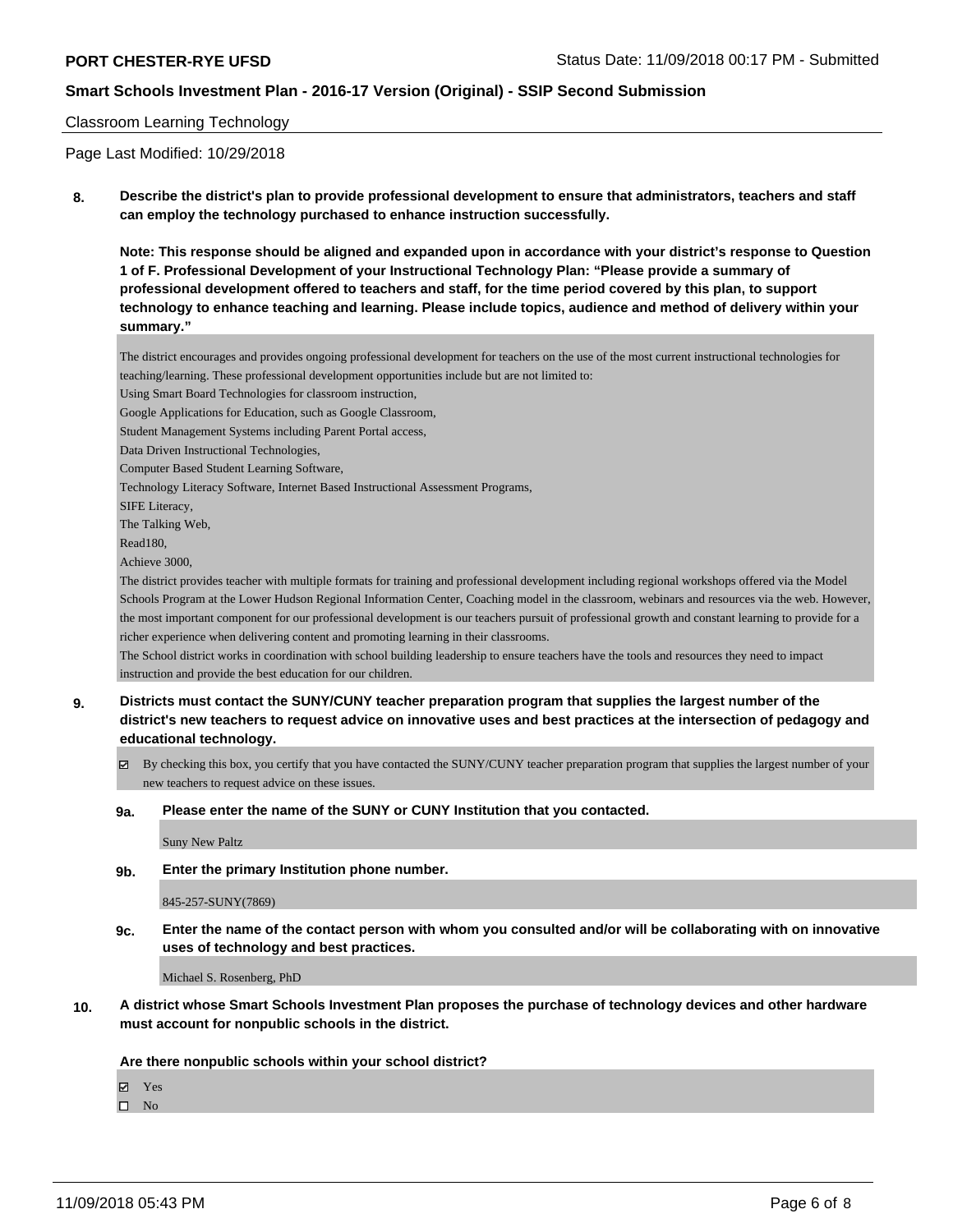## Classroom Learning Technology

Page Last Modified: 10/29/2018

**8. Describe the district's plan to provide professional development to ensure that administrators, teachers and staff can employ the technology purchased to enhance instruction successfully.**

**Note: This response should be aligned and expanded upon in accordance with your district's response to Question 1 of F. Professional Development of your Instructional Technology Plan: "Please provide a summary of professional development offered to teachers and staff, for the time period covered by this plan, to support technology to enhance teaching and learning. Please include topics, audience and method of delivery within your summary."**

The district encourages and provides ongoing professional development for teachers on the use of the most current instructional technologies for teaching/learning. These professional development opportunities include but are not limited to:

Using Smart Board Technologies for classroom instruction,

Google Applications for Education, such as Google Classroom,

Student Management Systems including Parent Portal access,

Data Driven Instructional Technologies,

Computer Based Student Learning Software,

Technology Literacy Software, Internet Based Instructional Assessment Programs,

SIFE Literacy,

The Talking Web,

Read180,

Achieve 3000,

The district provides teacher with multiple formats for training and professional development including regional workshops offered via the Model Schools Program at the Lower Hudson Regional Information Center, Coaching model in the classroom, webinars and resources via the web. However, the most important component for our professional development is our teachers pursuit of professional growth and constant learning to provide for a richer experience when delivering content and promoting learning in their classrooms.

The School district works in coordination with school building leadership to ensure teachers have the tools and resources they need to impact instruction and provide the best education for our children.

- **9. Districts must contact the SUNY/CUNY teacher preparation program that supplies the largest number of the district's new teachers to request advice on innovative uses and best practices at the intersection of pedagogy and educational technology.**
	- By checking this box, you certify that you have contacted the SUNY/CUNY teacher preparation program that supplies the largest number of your new teachers to request advice on these issues.

#### **9a. Please enter the name of the SUNY or CUNY Institution that you contacted.**

Suny New Paltz

**9b. Enter the primary Institution phone number.**

#### 845-257-SUNY(7869)

**9c. Enter the name of the contact person with whom you consulted and/or will be collaborating with on innovative uses of technology and best practices.**

Michael S. Rosenberg, PhD

**10. A district whose Smart Schools Investment Plan proposes the purchase of technology devices and other hardware must account for nonpublic schools in the district.**

**Are there nonpublic schools within your school district?**

Yes

 $\square$  No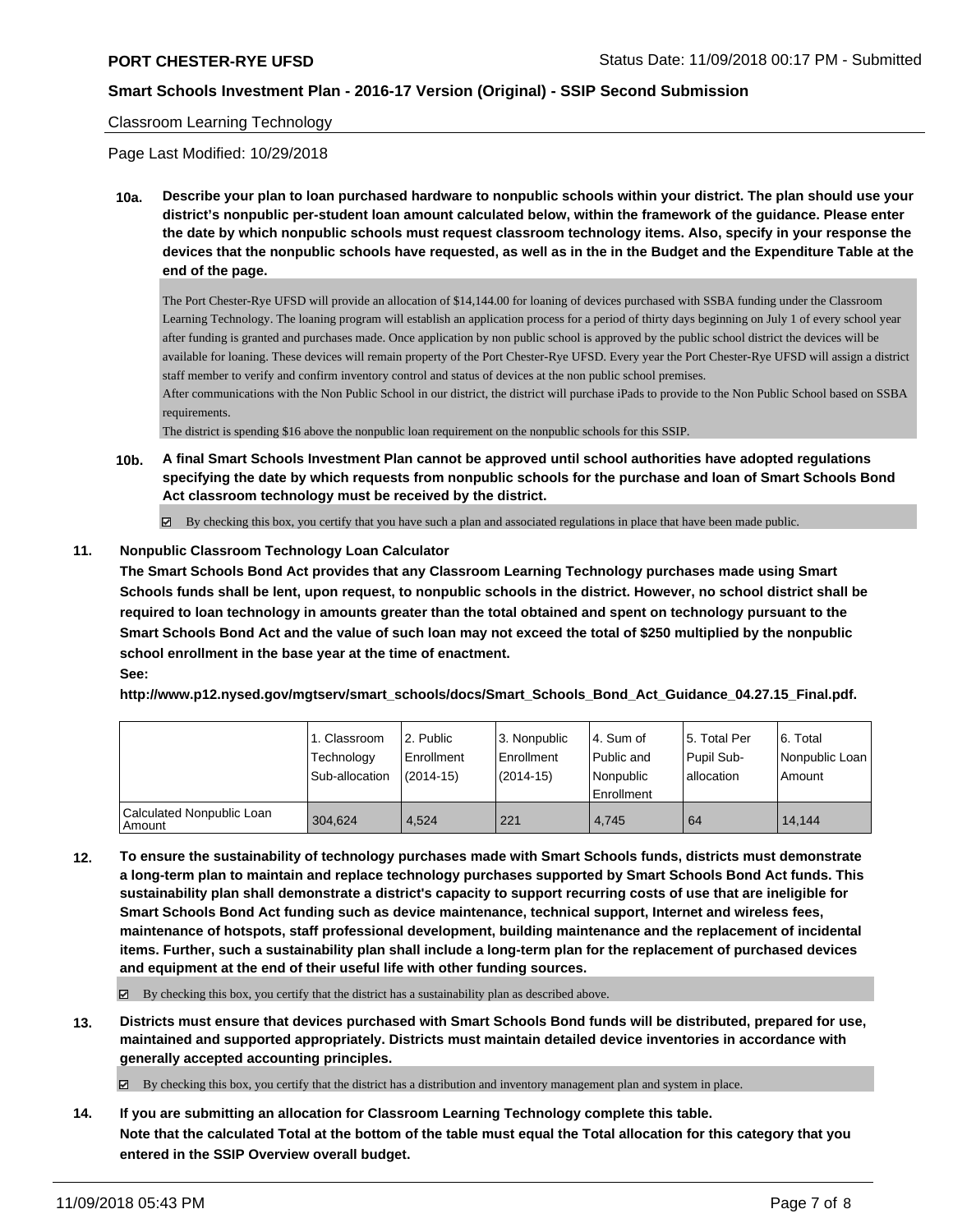#### Classroom Learning Technology

Page Last Modified: 10/29/2018

**10a. Describe your plan to loan purchased hardware to nonpublic schools within your district. The plan should use your district's nonpublic per-student loan amount calculated below, within the framework of the guidance. Please enter the date by which nonpublic schools must request classroom technology items. Also, specify in your response the devices that the nonpublic schools have requested, as well as in the in the Budget and the Expenditure Table at the end of the page.**

The Port Chester-Rye UFSD will provide an allocation of \$14,144.00 for loaning of devices purchased with SSBA funding under the Classroom Learning Technology. The loaning program will establish an application process for a period of thirty days beginning on July 1 of every school year after funding is granted and purchases made. Once application by non public school is approved by the public school district the devices will be available for loaning. These devices will remain property of the Port Chester-Rye UFSD. Every year the Port Chester-Rye UFSD will assign a district staff member to verify and confirm inventory control and status of devices at the non public school premises.

After communications with the Non Public School in our district, the district will purchase iPads to provide to the Non Public School based on SSBA requirements.

The district is spending \$16 above the nonpublic loan requirement on the nonpublic schools for this SSIP.

**10b. A final Smart Schools Investment Plan cannot be approved until school authorities have adopted regulations specifying the date by which requests from nonpublic schools for the purchase and loan of Smart Schools Bond Act classroom technology must be received by the district.**

By checking this box, you certify that you have such a plan and associated regulations in place that have been made public.

#### **11. Nonpublic Classroom Technology Loan Calculator**

**The Smart Schools Bond Act provides that any Classroom Learning Technology purchases made using Smart Schools funds shall be lent, upon request, to nonpublic schools in the district. However, no school district shall be required to loan technology in amounts greater than the total obtained and spent on technology pursuant to the Smart Schools Bond Act and the value of such loan may not exceed the total of \$250 multiplied by the nonpublic school enrollment in the base year at the time of enactment.**

### **See:**

**http://www.p12.nysed.gov/mgtserv/smart\_schools/docs/Smart\_Schools\_Bond\_Act\_Guidance\_04.27.15\_Final.pdf.**

|                                         | 1. Classroom<br>Technology<br>Sub-allocation | l 2. Public<br>Enrollment<br>$(2014 - 15)$ | 3. Nonpublic<br>Enrollment<br>$(2014-15)$ | 4. Sum of<br>Public and<br>l Nonpublic<br>Enrollment | 15. Total Per<br>Pupil Sub-<br>allocation | 6. Total<br>Nonpublic Loan<br>Amount |
|-----------------------------------------|----------------------------------------------|--------------------------------------------|-------------------------------------------|------------------------------------------------------|-------------------------------------------|--------------------------------------|
| Calculated Nonpublic Loan<br>l Amount i | 304.624                                      | 4.524                                      | 221                                       | 4.745                                                | 64                                        | 14.144                               |

**12. To ensure the sustainability of technology purchases made with Smart Schools funds, districts must demonstrate a long-term plan to maintain and replace technology purchases supported by Smart Schools Bond Act funds. This sustainability plan shall demonstrate a district's capacity to support recurring costs of use that are ineligible for Smart Schools Bond Act funding such as device maintenance, technical support, Internet and wireless fees, maintenance of hotspots, staff professional development, building maintenance and the replacement of incidental items. Further, such a sustainability plan shall include a long-term plan for the replacement of purchased devices and equipment at the end of their useful life with other funding sources.**

 $\boxtimes$  By checking this box, you certify that the district has a sustainability plan as described above.

**13. Districts must ensure that devices purchased with Smart Schools Bond funds will be distributed, prepared for use, maintained and supported appropriately. Districts must maintain detailed device inventories in accordance with generally accepted accounting principles.**

By checking this box, you certify that the district has a distribution and inventory management plan and system in place.

**14. If you are submitting an allocation for Classroom Learning Technology complete this table. Note that the calculated Total at the bottom of the table must equal the Total allocation for this category that you entered in the SSIP Overview overall budget.**